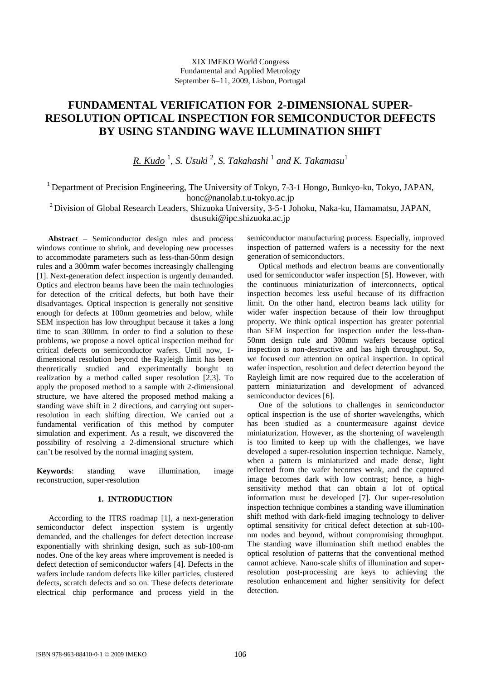# **FUNDAMENTAL VERIFICATION FOR 2-DIMENSIONAL SUPER-RESOLUTION OPTICAL INSPECTION FOR SEMICONDUCTOR DEFECTS BY USING STANDING WAVE ILLUMINATION SHIFT**

*R. Kudo* <sup>1</sup> , *S. Usuki* <sup>2</sup> *, S. Takahashi* <sup>1</sup> *and K. Takamasu*<sup>1</sup>

<sup>1</sup> Department of Precision Engineering, The University of Tokyo, 7-3-1 Hongo, Bunkyo-ku, Tokyo, JAPAN, honc@nanolab.t.u-tokyo.ac.jp

 $2$  Division of Global Research Leaders, Shizuoka University, 3-5-1 Johoku, Naka-ku, Hamamatsu, JAPAN, dsusuki@ipc.shizuoka.ac.jp

Abstract – Semiconductor design rules and process windows continue to shrink, and developing new processes to accommodate parameters such as less-than-50nm design rules and a 300mm wafer becomes increasingly challenging [1]. Next-generation defect inspection is urgently demanded. Optics and electron beams have been the main technologies for detection of the critical defects, but both have their disadvantages. Optical inspection is generally not sensitive enough for defects at 100nm geometries and below, while SEM inspection has low throughput because it takes a long time to scan 300mm. In order to find a solution to these problems, we propose a novel optical inspection method for critical defects on semiconductor wafers. Until now, 1 dimensional resolution beyond the Rayleigh limit has been theoretically studied and experimentally bought to realization by a method called super resolution [2,3]. To apply the proposed method to a sample with 2-dimensional structure, we have altered the proposed method making a standing wave shift in 2 directions, and carrying out superresolution in each shifting direction. We carried out a fundamental verification of this method by computer simulation and experiment. As a result, we discovered the possibility of resolving a 2-dimensional structure which can't be resolved by the normal imaging system.

**Keywords**: standing wave illumination, image reconstruction, super-resolution

# **1. INTRODUCTION**

According to the ITRS roadmap [1], a next-generation semiconductor defect inspection system is urgently demanded, and the challenges for defect detection increase exponentially with shrinking design, such as sub-100-nm nodes. One of the key areas where improvement is needed is defect detection of semiconductor wafers [4]. Defects in the wafers include random defects like killer particles, clustered defects, scratch defects and so on. These defects deteriorate electrical chip performance and process yield in the semiconductor manufacturing process. Especially, improved inspection of patterned wafers is a necessity for the next generation of semiconductors.

Optical methods and electron beams are conventionally used for semiconductor wafer inspection [5]. However, with the continuous miniaturization of interconnects, optical inspection becomes less useful because of its diffraction limit. On the other hand, electron beams lack utility for wider wafer inspection because of their low throughput property. We think optical inspection has greater potential than SEM inspection for inspection under the less-than-50nm design rule and 300mm wafers because optical inspection is non-destructive and has high throughput. So, we focused our attention on optical inspection. In optical wafer inspection, resolution and defect detection beyond the Rayleigh limit are now required due to the acceleration of pattern miniaturization and development of advanced semiconductor devices [6].

One of the solutions to challenges in semiconductor optical inspection is the use of shorter wavelengths, which has been studied as a countermeasure against device miniaturization. However, as the shortening of wavelength is too limited to keep up with the challenges, we have developed a super-resolution inspection technique. Namely, when a pattern is miniaturized and made dense, light reflected from the wafer becomes weak, and the captured image becomes dark with low contrast; hence, a highsensitivity method that can obtain a lot of optical information must be developed [7]. Our super-resolution inspection technique combines a standing wave illumination shift method with dark-field imaging technology to deliver optimal sensitivity for critical defect detection at sub-100 nm nodes and beyond, without compromising throughput. The standing wave illumination shift method enables the optical resolution of patterns that the conventional method cannot achieve. Nano-scale shifts of illumination and superresolution post-processing are keys to achieving the resolution enhancement and higher sensitivity for defect detection.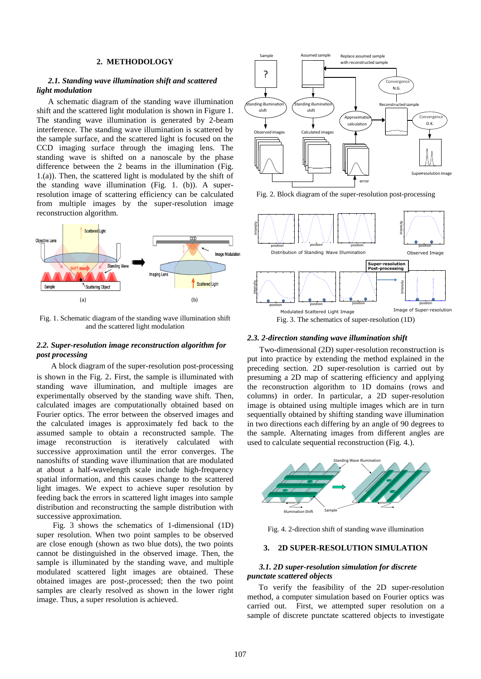# **2. METHODOLOGY**

## *2.1. Standing wave illumination shift and scattered light modulation*

A schematic diagram of the standing wave illumination shift and the scattered light modulation is shown in Figure 1. The standing wave illumination is generated by 2-beam interference. The standing wave illumination is scattered by the sample surface, and the scattered light is focused on the CCD imaging surface through the imaging lens. The standing wave is shifted on a nanoscale by the phase difference between the 2 beams in the illumination (Fig. 1.(a)). Then, the scattered light is modulated by the shift of the standing wave illumination (Fig. 1. (b)). A superresolution image of scattering efficiency can be calculated from multiple images by the super-resolution image reconstruction algorithm.



Fig. 1. Schematic diagram of the standing wave illumination shift and the scattered light modulation

# *2.2. Super-resolution image reconstruction algorithm for post processing*

A block diagram of the super-resolution post-processing is shown in the Fig. 2. First, the sample is illuminated with standing wave illumination, and multiple images are experimentally observed by the standing wave shift. Then, calculated images are computationally obtained based on Fourier optics. The error between the observed images and the calculated images is approximately fed back to the assumed sample to obtain a reconstructed sample. The image reconstruction is iteratively calculated with successive approximation until the error converges. The nanoshifts of standing wave illumination that are modulated at about a half-wavelength scale include high-frequency spatial information, and this causes change to the scattered light images. We expect to achieve super resolution by feeding back the errors in scattered light images into sample distribution and reconstructing the sample distribution with successive approximation.

Fig. 3 shows the schematics of 1-dimensional (1D) super resolution. When two point samples to be observed are close enough (shown as two blue dots), the two points cannot be distinguished in the observed image. Then, the sample is illuminated by the standing wave, and multiple modulated scattered light images are obtained. These obtained images are post-,processed; then the two point samples are clearly resolved as shown in the lower right image. Thus, a super resolution is achieved.



Fig. 2. Block diagram of the super-resolution post-processing



#### *2.3. 2-direction standing wave illumination shift*

Two-dimensional (2D) super-resolution reconstruction is put into practice by extending the method explained in the preceding section. 2D super-resolution is carried out by presuming a 2D map of scattering efficiency and applying the reconstruction algorithm to 1D domains (rows and columns) in order. In particular, a 2D super-resolution image is obtained using multiple images which are in turn sequentially obtained by shifting standing wave illumination in two directions each differing by an angle of 90 degrees to the sample. Alternating images from different angles are used to calculate sequential reconstruction (Fig. 4.).



Fig. 4. 2-direction shift of standing wave illumination

## **3. 2D SUPER-RESOLUTION SIMULATION**

## *3.1. 2D super-resolution simulation for discrete punctate scattered objects*

To verify the feasibility of the 2D super-resolution method, a computer simulation based on Fourier optics was carried out. First, we attempted super resolution on a sample of discrete punctate scattered objects to investigate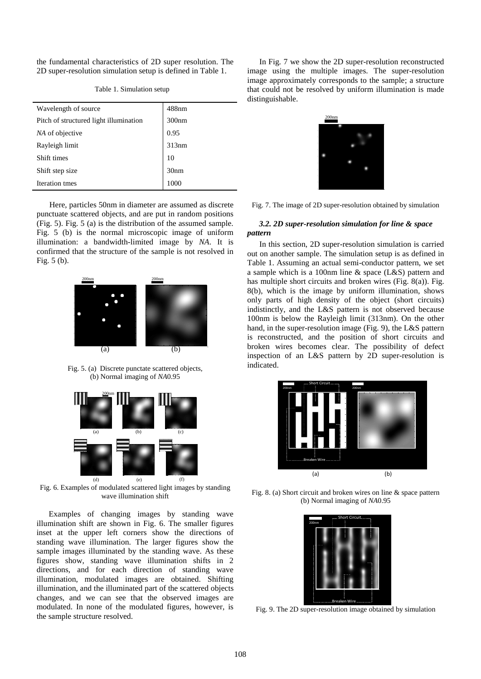the fundamental characteristics of 2D super resolution. The 2D super-resolution simulation setup is defined in Table 1.

| Wavelength of source                   | $488$ nm         |
|----------------------------------------|------------------|
| Pitch of structured light illumination | 300nm            |
| NA of objective                        | 0.95             |
| Rayleigh limit                         | 313nm            |
| Shift times                            | 10               |
| Shift step size                        | 30 <sub>nm</sub> |
| Iteration tmes                         | 1000             |

Table 1. Simulation setup

Here, particles 50nm in diameter are assumed as discrete punctuate scattered objects, and are put in random positions (Fig. 5). Fig. 5 (a) is the distribution of the assumed sample. Fig. 5 (b) is the normal microscopic image of uniform illumination: a bandwidth-limited image by *NA*. It is confirmed that the structure of the sample is not resolved in Fig. 5 (b).



Fig. 5. (a) Discrete punctate scattered objects, (b) Normal imaging of *NA*0.95



Fig. 6. Examples of modulated scattered light images by standing wave illumination shift

Examples of changing images by standing wave illumination shift are shown in Fig. 6. The smaller figures inset at the upper left corners show the directions of standing wave illumination. The larger figures show the sample images illuminated by the standing wave. As these figures show, standing wave illumination shifts in 2 directions, and for each direction of standing wave illumination, modulated images are obtained. Shifting illumination, and the illuminated part of the scattered objects changes, and we can see that the observed images are modulated. In none of the modulated figures, however, is the sample structure resolved.

In Fig. 7 we show the 2D super-resolution reconstructed image using the multiple images. The super-resolution image approximately corresponds to the sample; a structure that could not be resolved by uniform illumination is made distinguishable.



Fig. 7. The image of 2D super-resolution obtained by simulation

## *3.2. 2D super-resolution simulation for line & space pattern*

In this section, 2D super-resolution simulation is carried out on another sample. The simulation setup is as defined in Table 1. Assuming an actual semi-conductor pattern, we set a sample which is a 100nm line & space (L&S) pattern and has multiple short circuits and broken wires (Fig. 8(a)). Fig. 8(b), which is the image by uniform illumination, shows only parts of high density of the object (short circuits) indistinctly, and the L&S pattern is not observed because 100nm is below the Rayleigh limit (313nm). On the other hand, in the super-resolution image (Fig. 9), the L&S pattern is reconstructed, and the position of short circuits and broken wires becomes clear. The possibility of defect inspection of an L&S pattern by 2D super-resolution is indicated.



Fig. 8. (a) Short circuit and broken wires on line & space pattern (b) Normal imaging of *NA*0.95



Fig. 9. The 2D super-resolution image obtained by simulation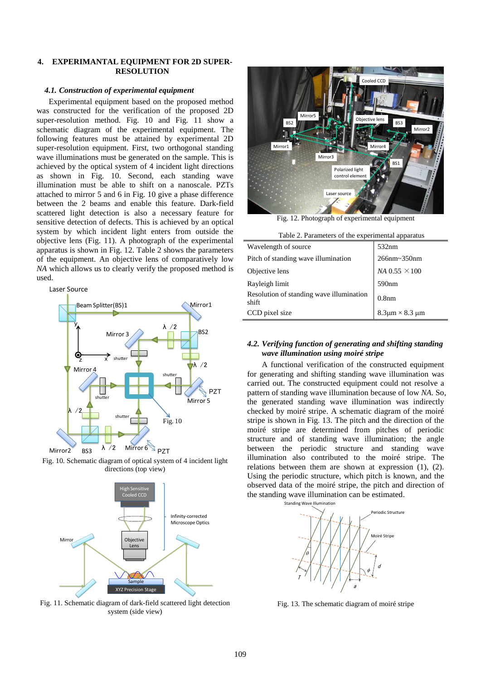# **4. EXPERIMANTAL EQUIPMENT FOR 2D SUPER-RESOLUTION**

### *4.1. Construction of experimental equipment*

Experimental equipment based on the proposed method was constructed for the verification of the proposed 2D super-resolution method. Fig. 10 and Fig. 11 show a schematic diagram of the experimental equipment. The following features must be attained by experimental 2D super-resolution equipment. First, two orthogonal standing wave illuminations must be generated on the sample. This is achieved by the optical system of 4 incident light directions as shown in Fig. 10. Second, each standing wave illumination must be able to shift on a nanoscale. PZTs attached to mirror 5 and 6 in Fig. 10 give a phase difference between the 2 beams and enable this feature. Dark-field scattered light detection is also a necessary feature for sensitive detection of defects. This is achieved by an optical system by which incident light enters from outside the objective lens (Fig. 11). A photograph of the experimental apparatus is shown in Fig. 12. Table 2 shows the parameters of the equipment. An objective lens of comparatively low *NA* which allows us to clearly verify the proposed method is used.

Laser Source







Fig. 11. Schematic diagram of dark-field scattered light detection system (side view)



Fig. 12. Photograph of experimental equipment

| Table 2. Parameters of the experimental apparatus |  |
|---------------------------------------------------|--|
|---------------------------------------------------|--|

| Wavelength of source                              | 532nm                                 |
|---------------------------------------------------|---------------------------------------|
| Pitch of standing wave illumination               | 266nm~350nm                           |
| Objective lens                                    | $NA$ 0.55 $\times$ 100                |
| Rayleigh limit                                    | 590nm                                 |
| Resolution of standing wave illumination<br>shift | 0.8 <sub>nm</sub>                     |
| CCD pixel size                                    | $8.3\mu\text{m}\times8.3~\mu\text{m}$ |

# *4.2. Verifying function of generating and shifting standing wave illumination using moiré stripe*

A functional verification of the constructed equipment for generating and shifting standing wave illumination was carried out. The constructed equipment could not resolve a pattern of standing wave illumination because of low *NA*. So, the generated standing wave illumination was indirectly checked by moiré stripe. A schematic diagram of the moiré stripe is shown in Fig. 13. The pitch and the direction of the moiré stripe are determined from pitches of periodic structure and of standing wave illumination; the angle between the periodic structure and standing wave illumination also contributed to the moiré stripe. The relations between them are shown at expression (1), (2). Using the periodic structure, which pitch is known, and the observed data of the moiré stripe, the pitch and direction of the standing wave illumination can be estimated.



Fig. 13. The schematic diagram of moiré stripe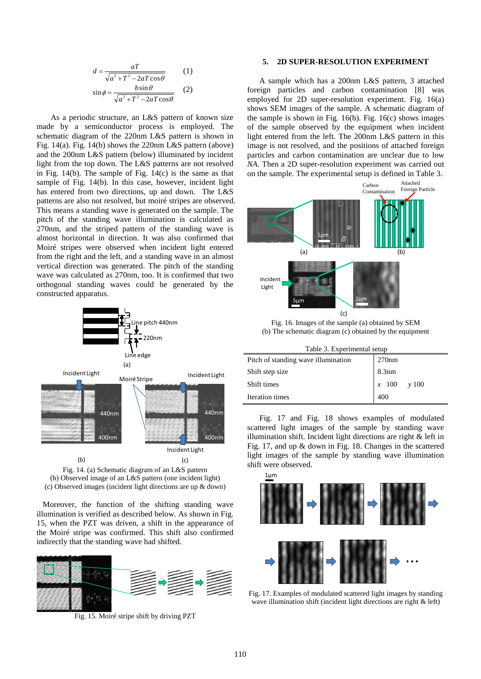$$
d = \frac{aT}{\sqrt{a^2 + T^2 - 2aT\cos\theta}}
$$
 (1)  

$$
\sin\phi = \frac{b\sin\theta}{\sqrt{a^2 + T^2 - 2aT\cos\theta}}
$$
 (2)

As a periodic structure, an L&S pattern of known size made by a semiconductor process is employed. The schematic diagram of the 220nm L&S pattern is shown in Fig. 14(a). Fig. 14(b) shows the 220nm L&S pattern (above) and the 200nm L&S pattern (below) illuminated by incident light from the top down. The L&S patterns are not resolved in Fig. 14(b). The sample of Fig. 14(c) is the same as that sample of Fig. 14(b). In this case, however, incident light has entered from two directions, up and down. The L&S patterns are also not resolved, but moiré stripes are observed. This means a standing wave is generated on the sample. The pitch of the standing wave illumination is calculated as 270nm, and the striped pattern of the standing wave is almost horizontal in direction. It was also confirmed that Moiré stripes were observed when incident light entered from the right and the left, and a standing wave in an almost vertical direction was generated. The pitch of the standing wave was calculated as 270nm, too. It is confirmed that two orthogonal standing waves could be generated by the constructed apparatus.



Fig. 14. (a) Schematic diagram of an L&S pattern (b) Observed image of an L&S pattern (one incident light) (c) Observed images (incident light directions are up & down)

 Moreover, the function of the shifting standing wave illumination is verified as described below. As shown in Fig. 15, when the PZT was driven, a shift in the appearance of the Moiré stripe was confirmed. This shift also confirmed indirectly that the standing wave had shifted.



Fig. 15. Moiré stripe shift by driving PZT

#### **5. 2D SUPER-RESOLUTION EXPERIMENT**

A sample which has a 200nm L&S pattern, 3 attached foreign particles and carbon contamination [8] was employed for 2D super-resolution experiment. Fig. 16(a) shows SEM images of the sample. A schematic diagram of the sample is shown in Fig. 16(b). Fig. 16(c) shows images of the sample observed by the equipment when incident light entered from the left. The 200nm L&S pattern in this image is not resolved, and the positions of attached foreign particles and carbon contamination are unclear due to low *NA*. Then a 2D super-resolution experiment was carried out on the sample. The experimental setup is defined in Table 3.



Fig. 16. Images of the sample (a) obtained by SEM (b) The schematic diagram (c) obtained by the equipment

| Table 3. Experimental setup         |                 |  |
|-------------------------------------|-----------------|--|
| Pitch of standing wave illumination | 270nm           |  |
| Shift step size                     | 8.3nm           |  |
| Shift times                         | $x$ 100 $y$ 100 |  |
| Iteration times                     | 400             |  |

Fig. 17 and Fig. 18 shows examples of modulated scattered light images of the sample by standing wave illumination shift. Incident light directions are right & left in Fig. 17, and up & down in Fig. 18. Changes in the scattered light images of the sample by standing wave illumination shift were observed.



Fig. 17. Examples of modulated scattered light images by standing wave illumination shift (incident light directions are right & left)